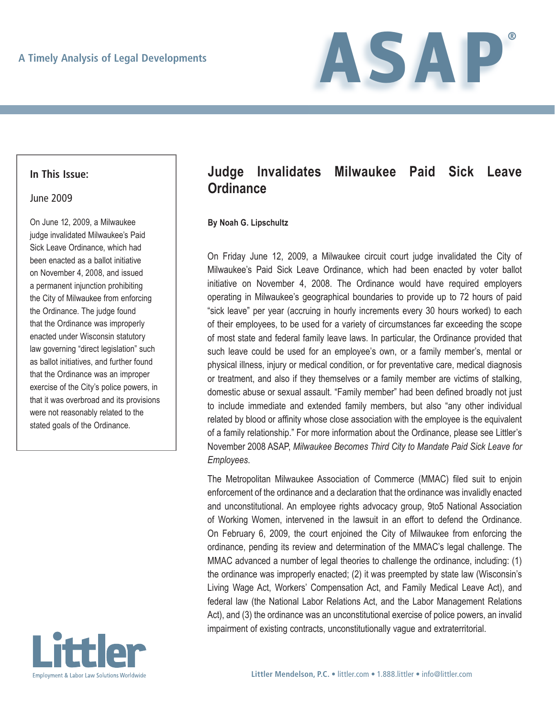

### **In This Issue:**

### June 2009

On June 12, 2009, a Milwaukee judge invalidated Milwaukee's Paid Sick Leave Ordinance, which had been enacted as a ballot initiative on November 4, 2008, and issued a permanent injunction prohibiting the City of Milwaukee from enforcing the Ordinance. The judge found that the Ordinance was improperly enacted under Wisconsin statutory law governing "direct legislation" such as ballot initiatives, and further found that the Ordinance was an improper exercise of the City's police powers, in that it was overbroad and its provisions were not reasonably related to the stated goals of the Ordinance.



# **Judge Invalidates Milwaukee Paid Sick Leave Ordinance**

#### **By Noah G. Lipschultz**

On Friday June 12, 2009, a Milwaukee circuit court judge invalidated the City of Milwaukee's Paid Sick Leave Ordinance, which had been enacted by voter ballot initiative on November 4, 2008. The Ordinance would have required employers operating in Milwaukee's geographical boundaries to provide up to 72 hours of paid "sick leave" per year (accruing in hourly increments every 30 hours worked) to each of their employees, to be used for a variety of circumstances far exceeding the scope of most state and federal family leave laws. In particular, the Ordinance provided that such leave could be used for an employee's own, or a family member's, mental or physical illness, injury or medical condition, or for preventative care, medical diagnosis or treatment, and also if they themselves or a family member are victims of stalking, domestic abuse or sexual assault. "Family member" had been defined broadly not just to include immediate and extended family members, but also "any other individual related by blood or affinity whose close association with the employee is the equivalent of a family relationship." For more information about the Ordinance, please see Littler's November 2008 ASAP, *Milwaukee Becomes Third City to Mandate Paid Sick Leave for Employees*.

The Metropolitan Milwaukee Association of Commerce (MMAC) filed suit to enjoin enforcement of the ordinance and a declaration that the ordinance was invalidly enacted and unconstitutional. An employee rights advocacy group, 9to5 National Association of Working Women, intervened in the lawsuit in an effort to defend the Ordinance. On February 6, 2009, the court enjoined the City of Milwaukee from enforcing the ordinance, pending its review and determination of the MMAC's legal challenge. The MMAC advanced a number of legal theories to challenge the ordinance, including: (1) the ordinance was improperly enacted; (2) it was preempted by state law (Wisconsin's Living Wage Act, Workers' Compensation Act, and Family Medical Leave Act), and federal law (the National Labor Relations Act, and the Labor Management Relations Act), and (3) the ordinance was an unconstitutional exercise of police powers, an invalid impairment of existing contracts, unconstitutionally vague and extraterritorial.